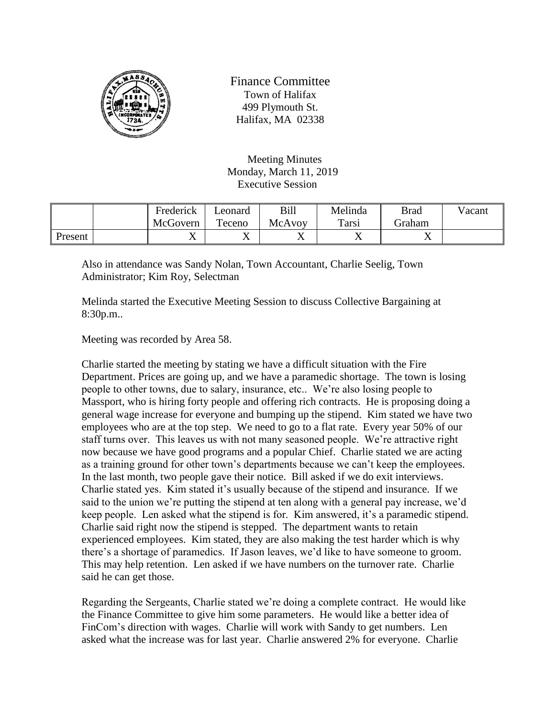

Finance Committee Town of Halifax 499 Plymouth St. Halifax, MA 02338

Meeting Minutes Monday, March 11, 2019 Executive Session

|         | Frederick | ∟eonard | Bill                     | Melinda        | <b>Brad</b>    | Vacant |
|---------|-----------|---------|--------------------------|----------------|----------------|--------|
|         | McGovern  | Teceno  | McAvoy                   | Tarsi          | Graham         |        |
| Present | ∡⊾        | ∡       | $\overline{\phantom{a}}$ | $\overline{ }$ | $\overline{ }$ |        |

Also in attendance was Sandy Nolan, Town Accountant, Charlie Seelig, Town Administrator; Kim Roy, Selectman

Melinda started the Executive Meeting Session to discuss Collective Bargaining at 8:30p.m..

Meeting was recorded by Area 58.

Charlie started the meeting by stating we have a difficult situation with the Fire Department. Prices are going up, and we have a paramedic shortage. The town is losing people to other towns, due to salary, insurance, etc.. We're also losing people to Massport, who is hiring forty people and offering rich contracts. He is proposing doing a general wage increase for everyone and bumping up the stipend. Kim stated we have two employees who are at the top step. We need to go to a flat rate. Every year 50% of our staff turns over. This leaves us with not many seasoned people. We're attractive right now because we have good programs and a popular Chief. Charlie stated we are acting as a training ground for other town's departments because we can't keep the employees. In the last month, two people gave their notice. Bill asked if we do exit interviews. Charlie stated yes. Kim stated it's usually because of the stipend and insurance. If we said to the union we're putting the stipend at ten along with a general pay increase, we'd keep people. Len asked what the stipend is for. Kim answered, it's a paramedic stipend. Charlie said right now the stipend is stepped. The department wants to retain experienced employees. Kim stated, they are also making the test harder which is why there's a shortage of paramedics. If Jason leaves, we'd like to have someone to groom. This may help retention. Len asked if we have numbers on the turnover rate. Charlie said he can get those.

Regarding the Sergeants, Charlie stated we're doing a complete contract. He would like the Finance Committee to give him some parameters. He would like a better idea of FinCom's direction with wages. Charlie will work with Sandy to get numbers. Len asked what the increase was for last year. Charlie answered 2% for everyone. Charlie